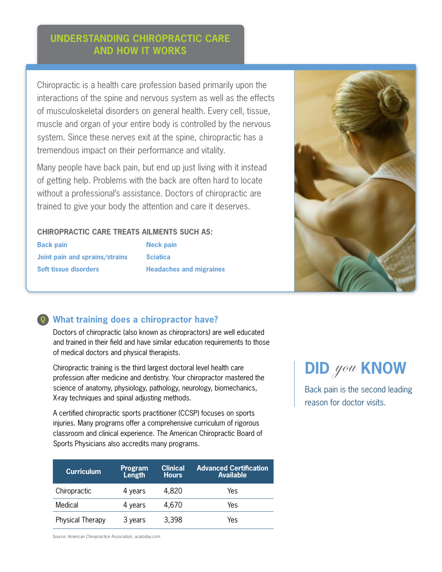# **Understanding Chiropractic Care and how it works**

Chiropractic is a health care profession based primarily upon the interactions of the spine and nervous system as well as the effects of musculoskeletal disorders on general health. Every cell, tissue, muscle and organ of your entire body is controlled by the nervous system. Since these nerves exit at the spine, chiropractic has a tremendous impact on their performance and vitality.

Many people have back pain, but end up just living with it instead of getting help. Problems with the back are often hard to locate without a professional's assistance. Doctors of chiropractic are trained to give your body the attention and care it deserves.

### **Chiropractic care treats ailments such as:**

| <b>Back pain</b>             |                                |  |  |  |
|------------------------------|--------------------------------|--|--|--|
|                              | Joint pain and sprains/strains |  |  |  |
| <b>Soft tissue disorders</b> |                                |  |  |  |

**Neck pain Sciatica Headaches and migraines**



## **What training does a chiropractor have?**

Doctors of chiropractic (also known as chiropractors) are well educated and trained in their field and have similar education requirements to those of medical doctors and physical therapists.

Chiropractic training is the third largest doctoral level health care profession after medicine and dentistry. Your chiropractor mastered the science of anatomy, physiology, pathology, neurology, biomechanics, X-ray techniques and spinal adjusting methods.

A certified chiropractic sports practitioner (CCSP) focuses on sports injuries. Many programs offer a comprehensive curriculum of rigorous classroom and clinical experience. The American Chiropractic Board of Sports Physicians also accredits many programs.

| <b>Curriculum</b> | Program<br>Length | <b>Clinical</b><br><b>Hours</b> | <b>Advanced Certification</b><br><b>Available</b> |
|-------------------|-------------------|---------------------------------|---------------------------------------------------|
| Chiropractic      | 4 years           | 4,820                           | Yes                                               |
| Medical           | 4 years           | 4,670                           | Yes                                               |
| Physical Therapy  | 3 years           | 3,398                           | Yes                                               |

**did** you **KNOW** 

Back pain is the second leading reason for doctor visits.

*Source: American Chiropractice Association, acatoday.com*